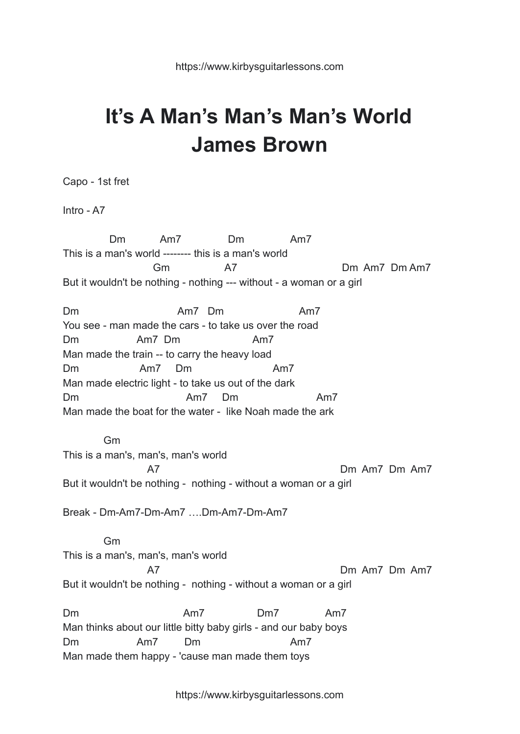## **It's A Man's Man's Man's World James Brown**

Capo - 1st fret

Intro - A7

Dm Am7 Dm Am7 This is a man's world -------- this is a man's world Gm A7 Dm Am7 Dm Am7 But it wouldn't be nothing - nothing --- without - a woman or a girl Dm Am7 Dm Am7 You see - man made the cars - to take us over the road Dm Am7 Dm Am7 Man made the train -- to carry the heavy load Dm Am7 Dm Am7 Man made electric light - to take us out of the dark Dm Am7 Dm Am7 Man made the boat for the water - like Noah made the ark Gm This is a man's, man's, man's world A7 Dm Am7 Dm Am7 But it wouldn't be nothing - nothing - without a woman or a girl Break - Dm-Am7-Dm-Am7 ….Dm-Am7-Dm-Am7 Gm This is a man's, man's, man's world A7 Dm Am7 Dm Am7 But it wouldn't be nothing - nothing - without a woman or a girl Dm Am7 Dm7 Am7 Man thinks about our little bitty baby girls - and our baby boys Dm Am7 Dm Am7 Man made them happy - 'cause man made them toys